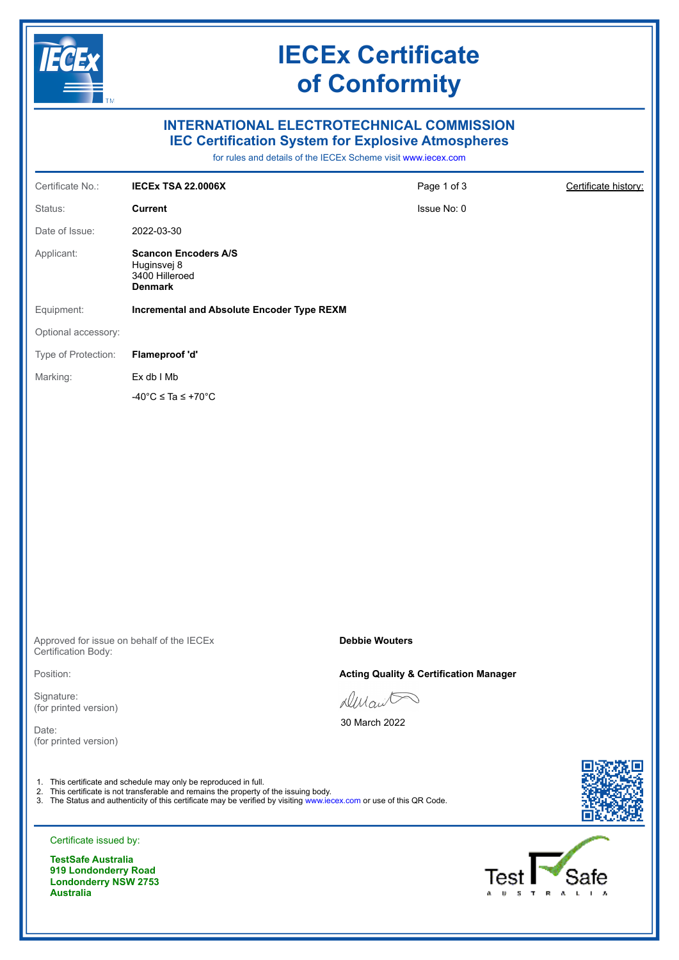

**TestSafe Australia 919 Londonderry Road Londonderry NSW 2753 Australia**

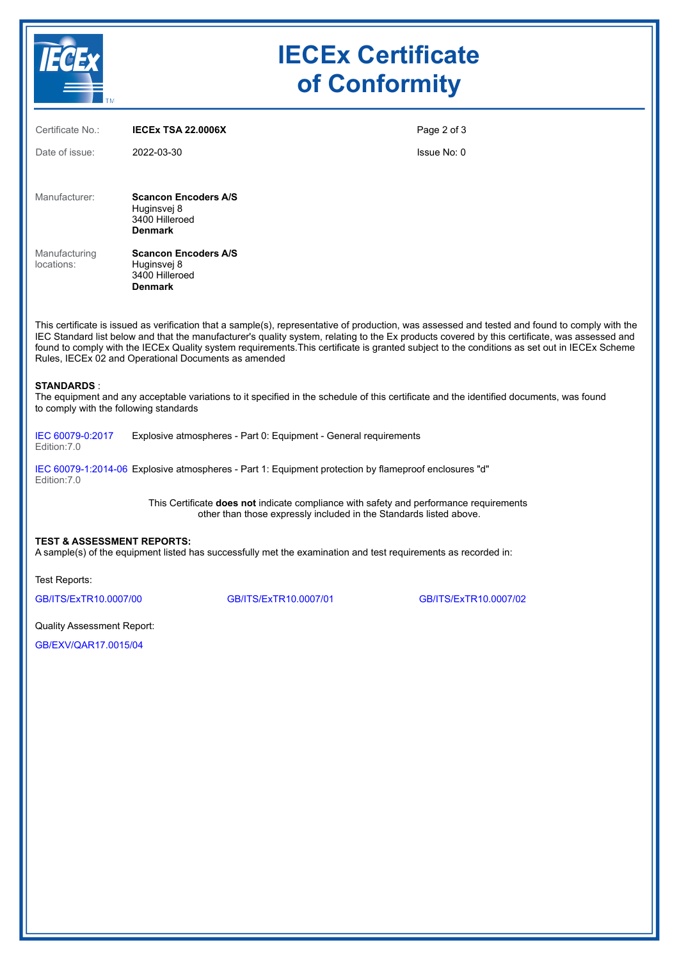

| Certificate No.:                                                                                                                                                                                                                                                                                                                                                                                                                                                                                         | <b>IECEX TSA 22.0006X</b>                                                      | Page 2 of 3           |  |  |  |  |
|----------------------------------------------------------------------------------------------------------------------------------------------------------------------------------------------------------------------------------------------------------------------------------------------------------------------------------------------------------------------------------------------------------------------------------------------------------------------------------------------------------|--------------------------------------------------------------------------------|-----------------------|--|--|--|--|
| Date of issue:                                                                                                                                                                                                                                                                                                                                                                                                                                                                                           | 2022-03-30                                                                     | Issue No: 0           |  |  |  |  |
|                                                                                                                                                                                                                                                                                                                                                                                                                                                                                                          |                                                                                |                       |  |  |  |  |
| Manufacturer:                                                                                                                                                                                                                                                                                                                                                                                                                                                                                            | <b>Scancon Encoders A/S</b><br>Huginsvej 8<br>3400 Hilleroed<br><b>Denmark</b> |                       |  |  |  |  |
| Manufacturing<br>locations:                                                                                                                                                                                                                                                                                                                                                                                                                                                                              | <b>Scancon Encoders A/S</b><br>Huginsvej 8<br>3400 Hilleroed<br><b>Denmark</b> |                       |  |  |  |  |
| This certificate is issued as verification that a sample(s), representative of production, was assessed and tested and found to comply with the<br>IEC Standard list below and that the manufacturer's quality system, relating to the Ex products covered by this certificate, was assessed and<br>found to comply with the IECEx Quality system requirements. This certificate is granted subject to the conditions as set out in IECEx Scheme<br>Rules, IECEx 02 and Operational Documents as amended |                                                                                |                       |  |  |  |  |
| <b>STANDARDS:</b><br>The equipment and any acceptable variations to it specified in the schedule of this certificate and the identified documents, was found<br>to comply with the following standards                                                                                                                                                                                                                                                                                                   |                                                                                |                       |  |  |  |  |
| IEC 60079-0:2017<br>Edition: 7.0                                                                                                                                                                                                                                                                                                                                                                                                                                                                         | Explosive atmospheres - Part 0: Equipment - General requirements               |                       |  |  |  |  |
| IEC 60079-1:2014-06 Explosive atmospheres - Part 1: Equipment protection by flameproof enclosures "d"<br>Edition: 7.0                                                                                                                                                                                                                                                                                                                                                                                    |                                                                                |                       |  |  |  |  |
| This Certificate does not indicate compliance with safety and performance requirements<br>other than those expressly included in the Standards listed above.                                                                                                                                                                                                                                                                                                                                             |                                                                                |                       |  |  |  |  |
| <b>TEST &amp; ASSESSMENT REPORTS:</b><br>A sample(s) of the equipment listed has successfully met the examination and test requirements as recorded in:                                                                                                                                                                                                                                                                                                                                                  |                                                                                |                       |  |  |  |  |
| Test Reports:                                                                                                                                                                                                                                                                                                                                                                                                                                                                                            |                                                                                |                       |  |  |  |  |
| GB/ITS/ExTR10.0007/00                                                                                                                                                                                                                                                                                                                                                                                                                                                                                    | GB/ITS/ExTR10.0007/01                                                          | GB/ITS/ExTR10.0007/02 |  |  |  |  |
|                                                                                                                                                                                                                                                                                                                                                                                                                                                                                                          |                                                                                |                       |  |  |  |  |

Quality Assessment Report:

[GB/EXV/QAR17.0015/04](https://www.iecex-certs.com/#/deliverables/REPORT/80048/view)

TECEX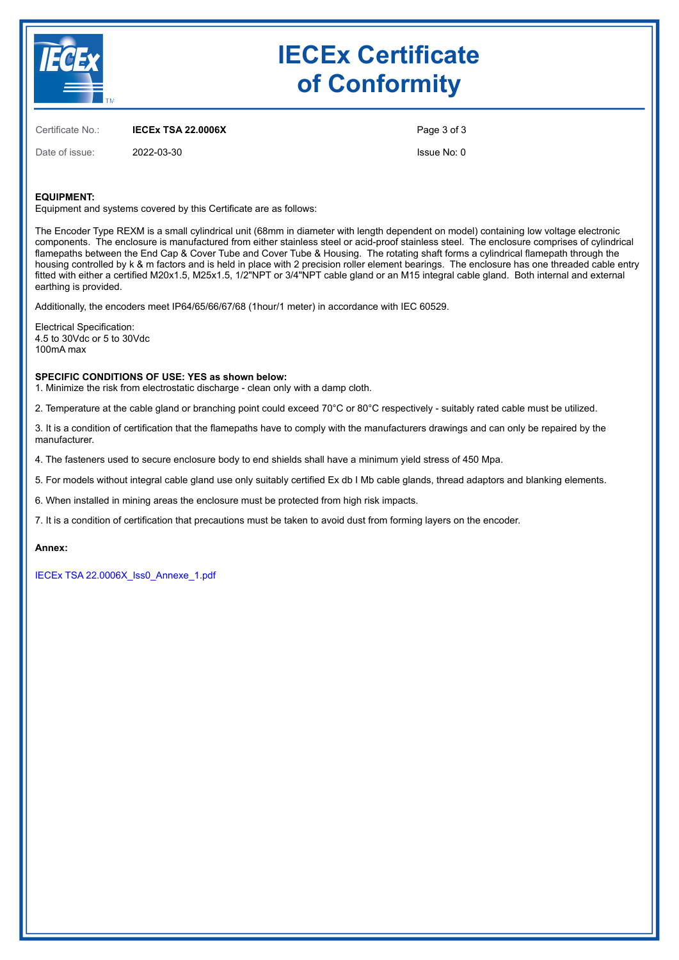

# **IECEx Certificate of Conformity**

Certificate No.: **IECEx TSA 22.0006X**

Date of issue: 2022-03-30

Page 3 of 3 Issue No: 0

#### **EQUIPMENT:**

Equipment and systems covered by this Certificate are as follows:

The Encoder Type REXM is a small cylindrical unit (68mm in diameter with length dependent on model) containing low voltage electronic components. The enclosure is manufactured from either stainless steel or acid-proof stainless steel. The enclosure comprises of cylindrical flamepaths between the End Cap & Cover Tube and Cover Tube & Housing. The rotating shaft forms a cylindrical flamepath through the housing controlled by k & m factors and is held in place with 2 precision roller element bearings. The enclosure has one threaded cable entry fitted with either a certified M20x1.5, M25x1.5, 1/2"NPT or 3/4"NPT cable gland or an M15 integral cable gland. Both internal and external earthing is provided.

Additionally, the encoders meet IP64/65/66/67/68 (1hour/1 meter) in accordance with IEC 60529.

Electrical Specification: 4.5 to 30Vdc or 5 to 30Vdc 100mA max

#### **SPECIFIC CONDITIONS OF USE: YES as shown below:**

1. Minimize the risk from electrostatic discharge - clean only with a damp cloth.

2. Temperature at the cable gland or branching point could exceed 70°C or 80°C respectively - suitably rated cable must be utilized.

3. It is a condition of certification that the flamepaths have to comply with the manufacturers drawings and can only be repaired by the manufacturer.

4. The fasteners used to secure enclosure body to end shields shall have a minimum yield stress of 450 Mpa.

5. For models without integral cable gland use only suitably certified Ex db I Mb cable glands, thread adaptors and blanking elements.

6. When installed in mining areas the enclosure must be protected from high risk impacts.

7. It is a condition of certification that precautions must be taken to avoid dust from forming layers on the encoder.

#### **Annex:**

[IECEx TSA 22.0006X\\_Iss0\\_Annexe\\_1.pdf](https://www.iecex-certs.com/#/deliverables/CERT/59774/view)